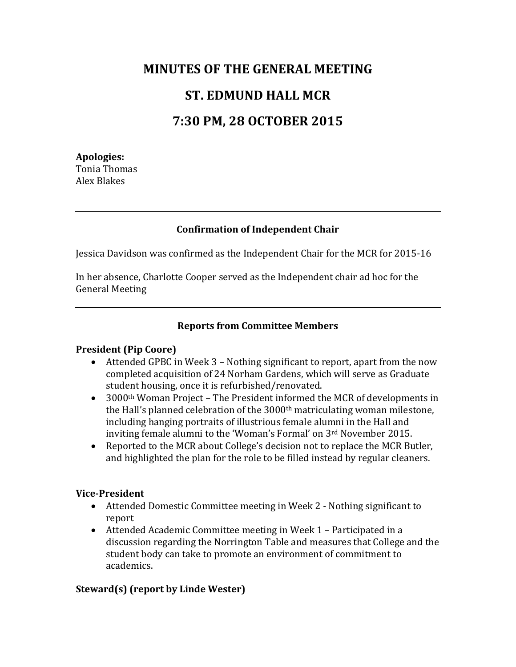# **MINUTES OF THE GENERAL MEETING ST. EDMUND HALL MCR 7:30 PM, 28 OCTOBER 2015**

## **Apologies:** Tonia Thomas Alex Blakes

# **Confirmation of Independent Chair**

Jessica Davidson was confirmed as the Independent Chair for the MCR for 2015-16

In her absence, Charlotte Cooper served as the Independent chair ad hoc for the General Meeting

## **Reports from Committee Members**

#### **President (Pip Coore)**

- Attended GPBC in Week 3 Nothing significant to report, apart from the now completed acquisition of 24 Norham Gardens, which will serve as Graduate student housing, once it is refurbished/renovated.
- 3000<sup>th</sup> Woman Project The President informed the MCR of developments in the Hall's planned celebration of the 3000<sup>th</sup> matriculating woman milestone, including hanging portraits of illustrious female alumni in the Hall and inviting female alumni to the 'Woman's Formal' on 3rd November 2015.
- Reported to the MCR about College's decision not to replace the MCR Butler, and highlighted the plan for the role to be filled instead by regular cleaners.

#### **Vice-President**

- Attended Domestic Committee meeting in Week 2 Nothing significant to report
- Attended Academic Committee meeting in Week 1 Participated in a discussion regarding the Norrington Table and measures that College and the student body can take to promote an environment of commitment to academics.

# **Steward(s) (report by Linde Wester)**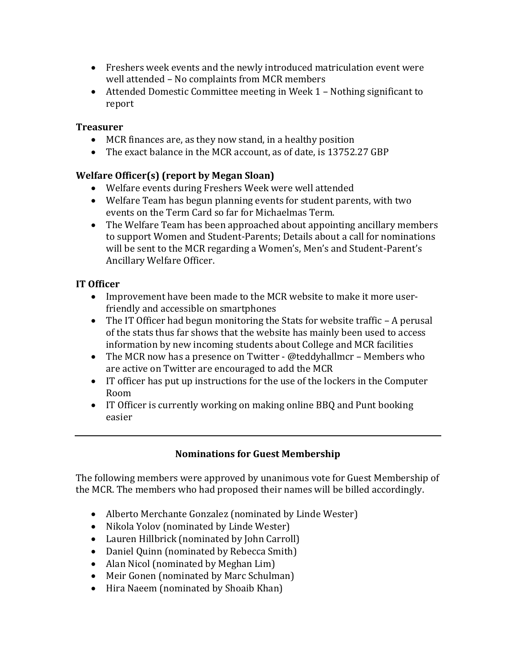- Freshers week events and the newly introduced matriculation event were well attended – No complaints from MCR members
- Attended Domestic Committee meeting in Week 1 Nothing significant to report

## **Treasurer**

- MCR finances are, as they now stand, in a healthy position
- The exact balance in the MCR account, as of date, is 13752.27 GBP

# **Welfare Officer(s) (report by Megan Sloan)**

- Welfare events during Freshers Week were well attended
- Welfare Team has begun planning events for student parents, with two events on the Term Card so far for Michaelmas Term.
- The Welfare Team has been approached about appointing ancillary members to support Women and Student-Parents; Details about a call for nominations will be sent to the MCR regarding a Women's, Men's and Student-Parent's Ancillary Welfare Officer.

## **IT Officer**

- Improvement have been made to the MCR website to make it more userfriendly and accessible on smartphones
- The IT Officer had begun monitoring the Stats for website traffic A perusal of the stats thus far shows that the website has mainly been used to access information by new incoming students about College and MCR facilities
- The MCR now has a presence on Twitter @teddyhallmcr Members who are active on Twitter are encouraged to add the MCR
- IT officer has put up instructions for the use of the lockers in the Computer Room
- IT Officer is currently working on making online BBQ and Punt booking easier

# **Nominations for Guest Membership**

The following members were approved by unanimous vote for Guest Membership of the MCR. The members who had proposed their names will be billed accordingly.

- Alberto Merchante Gonzalez (nominated by Linde Wester)
- Nikola Yolov (nominated by Linde Wester)
- Lauren Hillbrick (nominated by John Carroll)
- Daniel Quinn (nominated by Rebecca Smith)
- Alan Nicol (nominated by Meghan Lim)
- Meir Gonen (nominated by Marc Schulman)
- Hira Naeem (nominated by Shoaib Khan)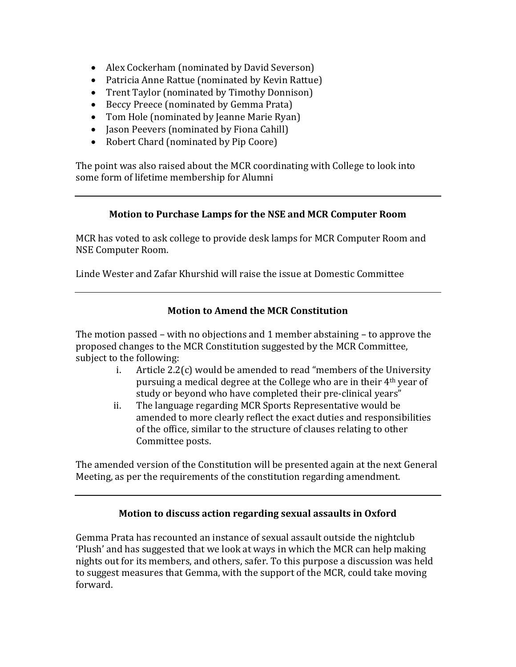- Alex Cockerham (nominated by David Severson)
- Patricia Anne Rattue (nominated by Kevin Rattue)
- Trent Taylor (nominated by Timothy Donnison)
- Beccy Preece (nominated by Gemma Prata)
- Tom Hole (nominated by Jeanne Marie Ryan)
- Jason Peevers (nominated by Fiona Cahill)
- Robert Chard (nominated by Pip Coore)

The point was also raised about the MCR coordinating with College to look into some form of lifetime membership for Alumni

#### **Motion to Purchase Lamps for the NSE and MCR Computer Room**

MCR has voted to ask college to provide desk lamps for MCR Computer Room and NSE Computer Room.

Linde Wester and Zafar Khurshid will raise the issue at Domestic Committee

#### **Motion to Amend the MCR Constitution**

The motion passed – with no objections and 1 member abstaining – to approve the proposed changes to the MCR Constitution suggested by the MCR Committee, subject to the following:

- i. Article 2.2(c) would be amended to read "members of the University pursuing a medical degree at the College who are in their 4th year of study or beyond who have completed their pre-clinical years"
- ii. The language regarding MCR Sports Representative would be amended to more clearly reflect the exact duties and responsibilities of the office, similar to the structure of clauses relating to other Committee posts.

The amended version of the Constitution will be presented again at the next General Meeting, as per the requirements of the constitution regarding amendment.

#### **Motion to discuss action regarding sexual assaults in Oxford**

Gemma Prata has recounted an instance of sexual assault outside the nightclub 'Plush' and has suggested that we look at ways in which the MCR can help making nights out for its members, and others, safer. To this purpose a discussion was held to suggest measures that Gemma, with the support of the MCR, could take moving forward.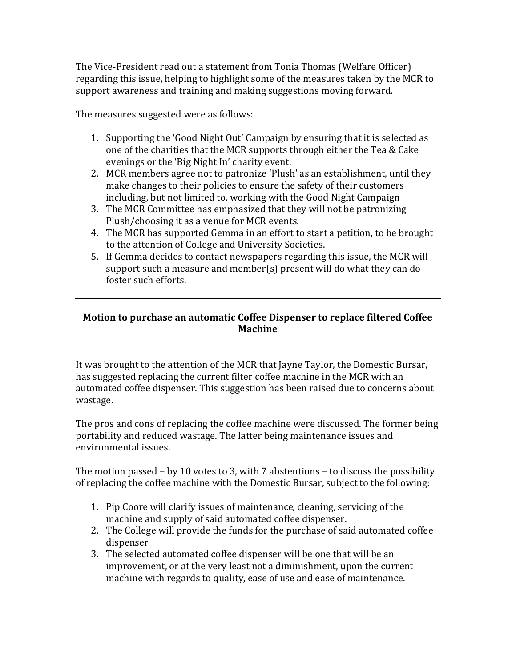The Vice-President read out a statement from Tonia Thomas (Welfare Officer) regarding this issue, helping to highlight some of the measures taken by the MCR to support awareness and training and making suggestions moving forward.

The measures suggested were as follows:

- 1. Supporting the 'Good Night Out' Campaign by ensuring that it is selected as one of the charities that the MCR supports through either the Tea & Cake evenings or the 'Big Night In' charity event.
- 2. MCR members agree not to patronize 'Plush' as an establishment, until they make changes to their policies to ensure the safety of their customers including, but not limited to, working with the Good Night Campaign
- 3. The MCR Committee has emphasized that they will not be patronizing Plush/choosing it as a venue for MCR events.
- 4. The MCR has supported Gemma in an effort to start a petition, to be brought to the attention of College and University Societies.
- 5. If Gemma decides to contact newspapers regarding this issue, the MCR will support such a measure and member(s) present will do what they can do foster such efforts.

## **Motion to purchase an automatic Coffee Dispenser to replace filtered Coffee Machine**

It was brought to the attention of the MCR that Jayne Taylor, the Domestic Bursar, has suggested replacing the current filter coffee machine in the MCR with an automated coffee dispenser. This suggestion has been raised due to concerns about wastage.

The pros and cons of replacing the coffee machine were discussed. The former being portability and reduced wastage. The latter being maintenance issues and environmental issues.

The motion passed – by 10 votes to 3, with 7 abstentions – to discuss the possibility of replacing the coffee machine with the Domestic Bursar, subject to the following:

- 1. Pip Coore will clarify issues of maintenance, cleaning, servicing of the machine and supply of said automated coffee dispenser.
- 2. The College will provide the funds for the purchase of said automated coffee dispenser
- 3. The selected automated coffee dispenser will be one that will be an improvement, or at the very least not a diminishment, upon the current machine with regards to quality, ease of use and ease of maintenance.